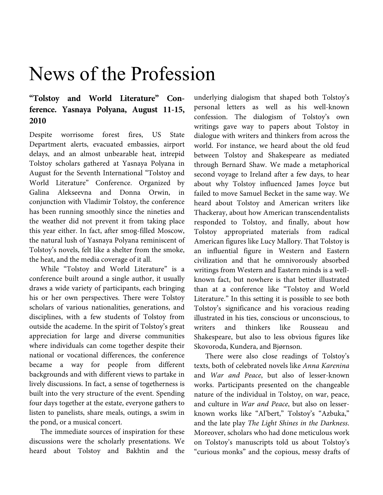# News of the Profession

## **"Tolstoy and World Literature" Conference. Yasnaya Polyana, August 11-15, 2010**

Despite worrisome forest fires, US State Department alerts, evacuated embassies, airport delays, and an almost unbearable heat, intrepid Tolstoy scholars gathered at Yasnaya Polyana in August for the Seventh International "Tolstoy and World Literature" Conference. Organized by Galina Alekseevna and Donna Orwin, in conjunction with Vladimir Tolstoy, the conference has been running smoothly since the nineties and the weather did not prevent it from taking place this year either. In fact, after smog-filled Moscow, the natural lush of Yasnaya Polyana reminiscent of Tolstoy's novels, felt like a shelter from the smoke, the heat, and the media coverage of it all.

While "Tolstoy and World Literature" is a conference built around a single author, it usually draws a wide variety of participants, each bringing his or her own perspectives. There were Tolstoy scholars of various nationalities, generations, and disciplines, with a few students of Tolstoy from outside the academe. In the spirit of Tolstoy's great appreciation for large and diverse communities where individuals can come together despite their national or vocational differences, the conference became a way for people from different backgrounds and with different views to partake in lively discussions. In fact, a sense of togetherness is built into the very structure of the event. Spending four days together at the estate, everyone gathers to listen to panelists, share meals, outings, a swim in the pond, or a musical concert.

The immediate sources of inspiration for these discussions were the scholarly presentations. We heard about Tolstoy and Bakhtin and the

underlying dialogism that shaped both Tolstoy's personal letters as well as his well-known confession. The dialogism of Tolstoy's own writings gave way to papers about Tolstoy in dialogue with writers and thinkers from across the world. For instance, we heard about the old feud between Tolstoy and Shakespeare as mediated through Bernard Shaw. We made a metaphorical second voyage to Ireland after a few days, to hear about why Tolstoy influenced James Joyce but failed to move Samuel Becket in the same way. We heard about Tolstoy and American writers like Thackeray, about how American transcendentalists responded to Tolstoy, and finally, about how Tolstoy appropriated materials from radical American figures like Lucy Mallory. That Tolstoy is an influential figure in Western and Eastern civilization and that he omnivorously absorbed writings from Western and Eastern minds is a wellknown fact, but nowhere is that better illustrated than at a conference like "Tolstoy and World Literature." In this setting it is possible to see both Tolstoy's significance and his voracious reading illustrated in his ties, conscious or unconscious, to writers and thinkers like Rousseau and Shakespeare, but also to less obvious figures like Skovoroda, Kundera, and Bjørnson.

There were also close readings of Tolstoy's texts, both of celebrated novels like Anna Karenina and War and Peace, but also of lesser-known works. Participants presented on the changeable nature of the individual in Tolstoy, on war, peace, and culture in War and Peace, but also on lesserknown works like "Al'bert," Tolstoy's "Azbuka," and the late play The Light Shines in the Darkness. Moreover, scholars who had done meticulous work on Tolstoy's manuscripts told us about Tolstoy's "curious monks" and the copious, messy drafts of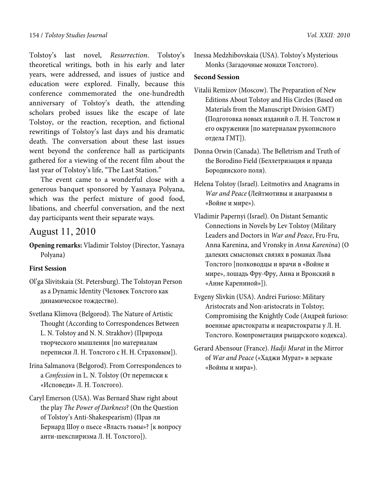Tolstoy's last novel, Resurrection. Tolstoy's theoretical writings, both in his early and later years, were addressed, and issues of justice and education were explored. Finally, because this conference commemorated the one-hundredth anniversary of Tolstoy's death, the attending scholars probed issues like the escape of late Tolstoy, or the reaction, reception, and fictional rewritings of Tolstoy's last days and his dramatic death. The conversation about these last issues went beyond the conference hall as participants gathered for a viewing of the recent film about the last year of Tolstoy's life, "The Last Station."

The event came to a wonderful close with a generous banquet sponsored by Yasnaya Polyana, which was the perfect mixture of good food, libations, and cheerful conversation, and the next day participants went their separate ways.

## August 11, 2010

**Opening remarks:** Vladimir Tolstoy (Director, Yasnaya Polyana)

## **First Session**

- Ol'ga Slivitskaia (St. Petersburg). The Tolstoyan Person as a Dynamic Identity (Человек Толстого как динамическое тождество).
- Svetlana Klimova (Belgorod). The Nature of Artistic Thought (According to Correspondences Between L. N. Tolstoy and N. N. Strakhov) (Природа творческого мышления [по материалам переписки Л. Н. Толстого с Н. Н. Страховым]).
- Irina Salmanova (Belgorod). From Correspondences to a *Confession* in L. N. Tolstoy (От переписки к «Исповеди» Л. Н. Толстого).
- Caryl Emerson (USA). Was Bernard Shaw right about the play *The Power of Darkness*? (On the Question of Tolstoy's Anti-Shakespearism) (Прав ли Бернард Шоу о пьесе «Власть тьмы»? [к вопросу анти-шекспиризма Л. Н. Толстого]).

Inessa Medzhibovskaia (USA). Tolstoy's Mysterious Monks (Загадочные монахи Толстого).

#### **Second Session**

- Vitalii Remizov (Moscow). The Preparation of New Editions About Tolstoy and His Circles (Based on Materials from the Manuscript Division GMT) **(**Подготовка новых изданий о Л. Н. Толстом и его окружении [по материалам рукописного отдела ГМТ]).
- Donna Orwin (Canada). The Belletrism and Truth of the Borodino Field (Беллетризация и правда Бородинского поля).
- Helena Tolstoy (Israel). Leitmotivs and Anagrams in *War and Peace* **(**Лейтмотивы и анаграммы в «Войне и мире»).
- Vladimir Papernyi (Israel). On Distant Semantic Connections in Novels by Lev Tolstoy (Military Leaders and Doctors in *War and Peace*, Fru-Fru, Anna Karenina, and Vronsky in *Anna Karenina*) (О далеких смысловых связях в романах Льва Толстого [полководцы и врачи в «Войне и мире», лошадь Фру-Фру, Анна и Вронский в «Анне Карениной»]).
- Evgeny Slivkin (USA). Andrei Furioso: Military Aristocrats and Non-aristocrats in Tolstoy; Compromising the Knightly Code (Андрей furioso: военные аристократы и неаристократы у Л. Н. Толстого. Компрометация рыцарского кодекса).
- Gerard Abensour (France). *Hadji Murat* in the Mirror of *War and Peace* («Хаджи Мурат» в зеркале «Войны и мира»).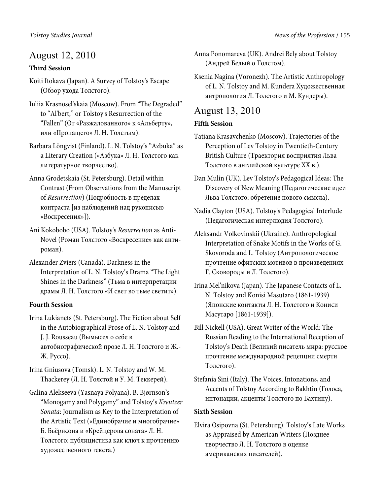## August 12, 2010

## **Third Session**

- Koiti Itokava (Japan). A Survey of Tolstoy's Escape **(**Обзор ухода Толстого).
- Iuliia Krasnosel'skaia (Moscow). From "The Degraded" to "Al'bert," or Tolstoy's Resurrection of the "Fallen" (От «Разжалованного» к «Альберту», или «Пропащего» Л. Н. Толстым).
- Barbara Löngvist (Finland). L. N. Tolstoy's "Azbuka" as a Literary Creation («Азбука» Л. Н. Толстого как литературное творчество).
- Anna Grodetskaia (St. Petersburg). Detail within Contrast (From Observations from the Manuscript of *Resurrection*) (Подробность в пределах контраста [из наблюдений над рукописью «Воскресения»]).
- Ani Kokobobo (USA). Tolstoy's *Resurrection* as Anti-Novel (Роман Толстого «Воскресение» как антироман).
- Alexander Zviers (Canada). Darkness in the Interpretation of L. N. Tolstoy's Drama "The Light Shines in the Darkness" (Тьма в интерпретации драмы Л. Н. Толстого «И свет во тьме светит»).

## **Fourth Session**

- Irina Lukianets (St. Petersburg). The Fiction about Self in the Autobiographical Prose of L. N. Tolstoy and J. J. Rousseau (Вымысел о себе в автобиографической прозе Л. Н. Толстого и Ж.- Ж. Руссо).
- Irina Gniusova (Tomsk). L. N. Tolstoy and W. M. Thackerey (Л. Н. Толстой и У. М. Теккерей).
- Galina Alekseeva (Yasnaya Polyana). B. Bjørnson's "Monogamy and Polygamy" and Tolstoy's *Kreutzer Sonata*: Journalism as Key to the Interpretation of the Artistic Text («Единобрачие и многобрачие» Б. Бьёрнсона и «Крейцерова соната» Л. Н. Толстого: публицистика как ключ к прочтению художественного текста.)
- Anna Ponomareva (UK). Andrei Bely about Tolstoy (Андрей Белый о Толстом).
- Ksenia Nagina (Voronezh). The Artistic Anthropology of L. N. Tolstoy and M. Kundera Художественная антропология Л. Толстого и М. Кундеры).

## August 13, 2010

## **Fifth Session**

- Tatiana Krasavchenko (Moscow). Trajectories of the Perception of Lev Tolstoy in Twentieth-Century British Culture (Траектория восприятия Льва Толстого в английской культуре ХХ в.).
- Dan Mulin (UK). Lev Tolstoy's Pedagogical Ideas: The Discovery of New Meaning (Педагогические идеи Льва Толстого: обретение нового смысла).
- Nadia Clayton (USA). Tolstoy's Pedagogical Interlude (Педагогическая интерлюдия Толстого).
- Aleksandr Volkovinskii (Ukraine). Anthropological Interpretation of Snake Motifs in the Works of G. Skovoroda and L. Tolstoy (Антропологическое прочтение офитских мотивов в произведениях Г. Сковороды и Л. Толстого).
- Irina Mel'nikova (Japan). The Japanese Contacts of L. N. Tolstoy and Konisi Masutaro (1861-1939) (Японские контакты Л. Н. Толстого и Кониси Масутаро [1861-1939]).
- Bill Nickell (USA). Great Writer of the World: The Russian Reading to the International Reception of Tolstoy's Death (Великий писатель мира: русское прочтение международной рецепции смерти Толстого).
- Stefania Sini (Italy). The Voices, Intonations, and Accents of Tolstoy According to Bakhtin (Голоса, интонации, акценты Толстого по Бахтину).

## **Sixth Session**

Elvira Osipovna (St. Petersburg). Tolstoy's Late Works as Appraised by American Writers (Позднее творчество Л. Н. Толстого в оценке американских писателей).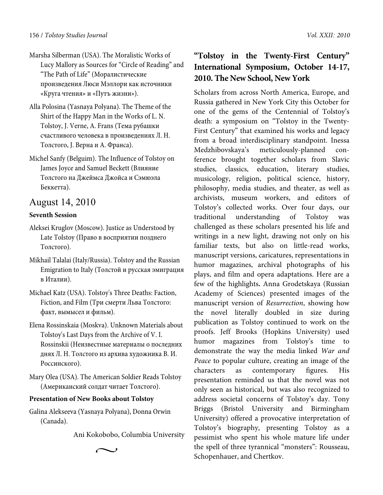- Marsha Silberman (USA). The Moralistic Works of Lucy Mallory as Sources for "Circle of Reading" and "The Path of Life" (Моралистические произведения Люси Мэллори как источники «Круга чтения» и «Путъ жизни»).
- Alla Polosina (Yasnaya Polyana). The Theme of the Shirt of the Happy Man in the Works of L. N. Tolstoy, J. Verne, A. Frans (Тема рубашки счастливого человека в произведениях Л. Н. Толстого, J. Верна и А. Франса).
- Michel Sanfy (Belguim). The Influence of Tolstoy on James Joyce and Samuel Beckett (Влияние Толстого на Джеймса Джойса и Сэмюэла Беккетта).

## August 14, 2010

## **Seventh Session**

- Aleksei Kruglov (Moscow). Justice as Understood by Late Tolstoy (Право в восприятии позднего Толстого).
- Mikhail Talalai (Italy/Russia). Tolstoy and the Russian Emigration to Italy (Толстой и русская эмиграция в Италии).
- Michael Katz (USA). Tolstoy's Three Deaths: Faction, Fiction, and Film (Три смерти Льва Толстого: факт, вымысел и фильм).
- Elena Rossinskaia (Moskva). Unknown Materials about Tolstoy's Last Days from the Archive of V. I. Rossinskii (Неизвестные материалы о последних днях Л. Н. Толстого из архива художника В. И. Россинского).
- Mary Olea (USA). The American Soldier Reads Tolstoy (Американский солдат читает Толстого).

## **Presentation of New Books about Tolstoy**

Galina Alekseeva (Yasnaya Polyana), Donna Orwin (Canada).

 $\sim$ 

Ani Kokobobo, Columbia University

**"Tolstoy in the Twenty-First Century" International Symposium, October 14-17, 2010. The New School, New York** 

Scholars from across North America, Europe, and Russia gathered in New York City this October for one of the gems of the Centennial of Tolstoy's death: a symposium on "Tolstoy in the Twenty-First Century" that examined his works and legacy from a broad interdisciplinary standpoint. Inessa Medzhibovskaya's meticulously-planned conference brought together scholars from Slavic studies, classics, education, literary studies, musicology, religion, political science, history, philosophy, media studies, and theater, as well as archivists, museum workers, and editors of Tolstoy's collected works. Over four days, our traditional understanding of Tolstoy was challenged as these scholars presented his life and writings in a new light, drawing not only on his familiar texts, but also on little-read works, manuscript versions, caricatures, representations in humor magazines, archival photographs of his plays, and film and opera adaptations. Here are a few of the highlights**.** Anna Grodetskaya (Russian Academy of Sciences) presented images of the manuscript version of Resurrection, showing how the novel literally doubled in size during publication as Tolstoy continued to work on the proofs. Jeff Brooks (Hopkins University) used humor magazines from Tolstoy's time to demonstrate the way the media linked War and Peace to popular culture, creating an image of the characters as contemporary figures. His presentation reminded us that the novel was not only seen as historical, but was also recognized to address societal concerns of Tolstoy's day. Tony Briggs (Bristol University and Birmingham University) offered a provocative interpretation of Tolstoy's biography, presenting Tolstoy as a pessimist who spent his whole mature life under the spell of three tyrannical "monsters": Rousseau, Schopenhauer, and Chertkov.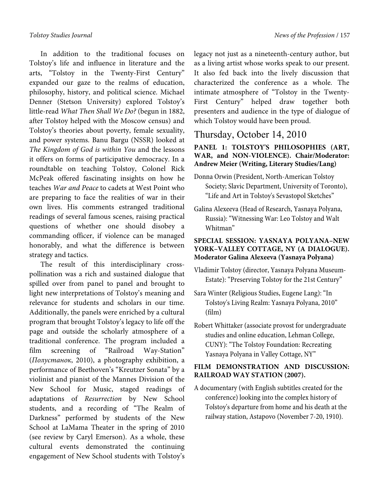In addition to the traditional focuses on Tolstoy's life and influence in literature and the arts, "Tolstoy in the Twenty-First Century" expanded our gaze to the realms of education, philosophy, history, and political science. Michael Denner (Stetson University) explored Tolstoy's little-read What Then Shall We Do? (begun in 1882, after Tolstoy helped with the Moscow census) and Tolstoy's theories about poverty, female sexuality, and power systems. Banu Bargu (NSSR) looked at The Kingdom of God is within You and the lessons it offers on forms of participative democracy. In a roundtable on teaching Tolstoy, Colonel Rick McPeak offered fascinating insights on how he teaches War and Peace to cadets at West Point who are preparing to face the realities of war in their own lives. His comments estranged traditional readings of several famous scenes, raising practical questions of whether one should disobey a commanding officer, if violence can be managed honorably, and what the difference is between strategy and tactics.

The result of this interdisciplinary crosspollination was a rich and sustained dialogue that spilled over from panel to panel and brought to light new interpretations of Tolstoy's meaning and relevance for students and scholars in our time. Additionally, the panels were enriched by a cultural program that brought Tolstoy's legacy to life off the page and outside the scholarly atmosphere of a traditional conference. The program included a film screening of "Railroad Way-Station" (Полустанок, 2010), a photography exhibition, a performance of Beethoven's "Kreutzer Sonata" by a violinist and pianist of the Mannes Division of the New School for Music, staged readings of adaptations of Resurrection by New School students, and a recording of "The Realm of Darkness" performed by students of the New School at LaMama Theater in the spring of 2010 (see review by Caryl Emerson). As a whole, these cultural events demonstrated the continuing engagement of New School students with Tolstoy's

legacy not just as a nineteenth-century author, but as a living artist whose works speak to our present. It also fed back into the lively discussion that characterized the conference as a whole. The intimate atmosphere of "Tolstoy in the Twenty-First Century" helped draw together both presenters and audience in the type of dialogue of which Tolstoy would have been proud.

## Thursday, October 14, 2010

**PANEL 1: TOLSTOY'S PHILOSOPHIES (ART, WAR, and NON-VIOLENCE). Chair/Moderator: Andrew Meier (Writing, Literary Studies/Lang)** 

- Donna Orwin (President, North-American Tolstoy Society; Slavic Department, University of Toronto), "Life and Art in Tolstoy's Sevastopol Sketches"
- Galina Alexeeva (Head of Research, Yasnaya Polyana, Russia): "Witnessing War: Leo Tolstoy and Walt Whitman"

## **SPECIAL SESSION: YASNAYA POLYANA–NEW YORK–VALLEY COTTAGE, NY (A DIALOGUE). Moderator Galina Alexeeva (Yasnaya Polyana)**

- Vladimir Tolstoy (director, Yasnaya Polyana Museum-Estate): "Preserving Tolstoy for the 21st Century"
- Sara Winter (Religious Studies, Eugene Lang): "In Tolstoy's Living Realm: Yasnaya Polyana, 2010" (film)
- Robert Whittaker (associate provost for undergraduate studies and online education, Lehman College, CUNY): "The Tolstoy Foundation: Recreating Yasnaya Polyana in Valley Cottage, NY"

## **FILM DEMONSTRATION AND DISCUSSION: RAILROAD WAY STATION (2007).**

A documentary (with English subtitles created for the conference) looking into the complex history of Tolstoy's departure from home and his death at the railway station, Astapovo (November 7-20, 1910).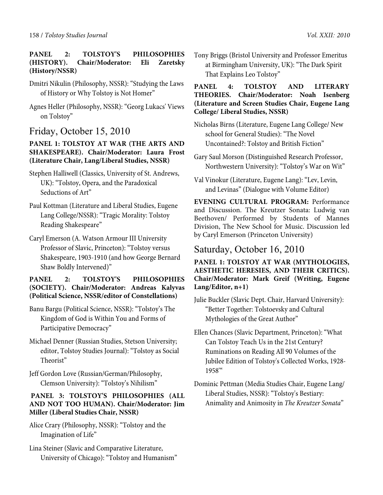## **PANEL 2: TOLSTOY'S PHILOSOPHIES (HISTORY). Chair/Moderator: Eli Zaretsky (History/NSSR)**

- Dmitri Nikulin (Philosophy, NSSR): "Studying the Laws of History or Why Tolstoy is Not Homer"
- Agnes Heller (Philosophy, NSSR): "Georg Lukacs' Views on Tolstoy"

## Friday, October 15, 2010

## **PANEL 1: TOLSTOY AT WAR (THE ARTS AND SHAKESPEARE). Chair/Moderator: Laura Frost (Literature Chair, Lang/Liberal Studies, NSSR)**

- Stephen Halliwell (Classics, University of St. Andrews, UK): "Tolstoy, Opera, and the Paradoxical Seductions of Art"
- Paul Kottman (Literature and Liberal Studies, Eugene Lang College/NSSR): "Tragic Morality: Tolstoy Reading Shakespeare"
- Caryl Emerson (A. Watson Armour III University Professor of Slavic, Princeton): "Tolstoy versus Shakespeare, 1903-1910 (and how George Bernard Shaw Boldly Intervened)"

## **PANEL 2: TOLSTOY'S PHILOSOPHIES (SOCIETY). Chair/Moderator: Andreas Kalyvas (Political Science, NSSR/editor of Constellations)**

- Banu Bargu (Political Science, NSSR): "Tolstoy's The Kingdom of God is Within You and Forms of Participative Democracy"
- Michael Denner (Russian Studies, Stetson University; editor, Tolstoy Studies Journal): "Tolstoy as Social Theorist"
- Jeff Gordon Love (Russian/German/Philosophy, Clemson University): "Tolstoy's Nihilism"

## **PANEL 3: TOLSTOY'S PHILOSOPHIES (ALL AND NOT TOO HUMAN). Chair/Moderator: Jim Miller (Liberal Studies Chair, NSSR)**

Alice Crary (Philosophy, NSSR): "Tolstoy and the Imagination of Life"

Lina Steiner (Slavic and Comparative Literature, University of Chicago): "Tolstoy and Humanism" Tony Briggs (Bristol University and Professor Emeritus at Birmingham University, UK): "The Dark Spirit That Explains Leo Tolstoy"

## **PANEL 4: TOLSTOY AND LITERARY THEORIES. Chair/Moderator: Noah Isenberg (Literature and Screen Studies Chair, Eugene Lang College/ Liberal Studies, NSSR)**

- Nicholas Birns (Literature, Eugene Lang College/ New school for General Studies): "The Novel Uncontained?: Tolstoy and British Fiction"
- Gary Saul Morson (Distinguished Research Professor, Northwestern University): "Tolstoy's War on Wit"
- Val Vinokur (Literature, Eugene Lang): "Lev, Levin, and Levinas" (Dialogue with Volume Editor)

**EVENING CULTURAL PROGRAM:** Performance and Discussion. The Kreutzer Sonata: Ludwig van Beethoven/ Performed by Students of Mannes Division, The New School for Music. Discussion led by Caryl Emerson (Princeton University)

## Saturday, October 16, 2010

**PANEL 1: TOLSTOY AT WAR (MYTHOLOGIES, AESTHETIC HERESIES, AND THEIR CRITICS). Chair/Moderator: Mark Greif (Writing, Eugene Lang/Editor, n+1)** 

Julie Buckler (Slavic Dept. Chair, Harvard University): "Better Together: Tolstoevsky and Cultural Mythologies of the Great Author"

Ellen Chances (Slavic Department, Princeton): "What Can Tolstoy Teach Us in the 21st Century? Ruminations on Reading All 90 Volumes of the Jubilee Edition of Tolstoy's Collected Works, 1928- 1958'"

Dominic Pettman (Media Studies Chair, Eugene Lang/ Liberal Studies, NSSR): "Tolstoy's Bestiary: Animality and Animosity in *The Kreutzer Sonata*"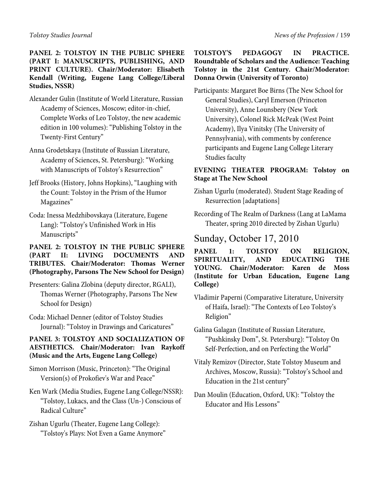## **PANEL 2: TOLSTOY IN THE PUBLIC SPHERE (PART I: MANUSCRIPTS, PUBLISHING, AND PRINT CULTURE). Chair/Moderator: Elisabeth Kendall (Writing, Eugene Lang College/Liberal Studies, NSSR)**

- Alexander Gulin (Institute of World Literature, Russian Academy of Sciences, Moscow; editor-in-chief, Complete Works of Leo Tolstoy, the new academic edition in 100 volumes): "Publishing Tolstoy in the Twenty-First Century"
- Anna Grodetskaya (Institute of Russian Literature, Academy of Sciences, St. Petersburg): "Working with Manuscripts of Tolstoy's Resurrection"
- Jeff Brooks (History, Johns Hopkins), "Laughing with the Count: Tolstoy in the Prism of the Humor Magazines"
- Coda: Inessa Medzhibovskaya (Literature, Eugene Lang): "Tolstoy's Unfinished Work in His Manuscripts"

## **PANEL 2: TOLSTOY IN THE PUBLIC SPHERE (PART II: LIVING DOCUMENTS AND TRIBUTES. Chair/Moderator: Thomas Werner (Photography, Parsons The New School for Design)**

- Presenters: Galina Zlobina (deputy director, RGALI), Thomas Werner (Photography, Parsons The New School for Design)
- Coda: Michael Denner (editor of Tolstoy Studies Journal): "Tolstoy in Drawings and Caricatures"

## **PANEL 3: TOLSTOY AND SOCIALIZATION OF AESTHETICS. Chair/Moderator: Ivan Raykoff (Music and the Arts, Eugene Lang College)**

- Simon Morrison (Music, Princeton): "The Original Version(s) of Prokofiev's War and Peace"
- Ken Wark (Media Studies, Eugene Lang College/NSSR): "Tolstoy, Lukacs, and the Class (Un-) Conscious of Radical Culture"
- Zishan Ugurlu (Theater, Eugene Lang College): "Tolstoy's Plays: Not Even a Game Anymore"

## **TOLSTOY'S PEDAGOGY IN PRACTICE. Roundtable of Scholars and the Audience: Teaching Tolstoy in the 21st Century. Chair/Moderator: Donna Orwin (University of Toronto)**

Participants: Margaret Boe Birns (The New School for General Studies), Caryl Emerson (Princeton University), Anne Lounsbery (New York University), Colonel Rick McPeak (West Point Academy), Ilya Vinitsky (The University of Pennsylvania), with comments by conference participants and Eugene Lang College Literary Studies faculty

## **EVENING THEATER PROGRAM: Tolstoy on Stage at The New School**

- Zishan Ugurlu (moderated). Student Stage Reading of Resurrection [adaptations]
- Recording of The Realm of Darkness (Lang at LaMama Theater, spring 2010 directed by Zishan Ugurlu)

Sunday, October 17, 2010

**PANEL 1: TOLSTOY ON RELIGION, SPIRITUALITY, AND EDUCATING THE YOUNG. Chair/Moderator: Karen de Moss (Institute for Urban Education, Eugene Lang College)** 

- Vladimir Paperni (Comparative Literature, University of Haifa, Israel): "The Contexts of Leo Tolstoy's Religion"
- Galina Galagan (Institute of Russian Literature, "Pushkinsky Dom", St. Petersburg): "Tolstoy On Self-Perfection, and on Perfecting the World"
- Vitaly Remizov (Director, State Tolstoy Museum and Archives, Moscow, Russia): "Tolstoy's School and Education in the 21st century"
- Dan Moulin (Education, Oxford, UK): "Tolstoy the Educator and His Lessons"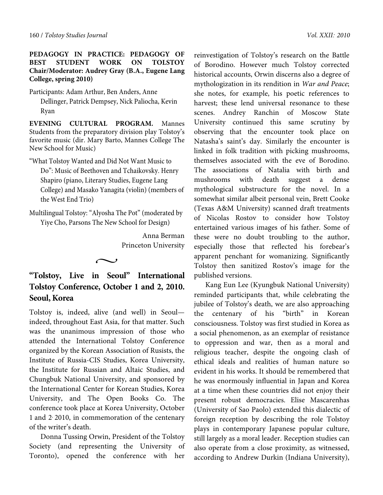#### **PEDAGOGY IN PRACTICE: PEDAGOGY OF BEST STUDENT WORK ON TOLSTOY Chair/Moderator: Audrey Gray (B.A., Eugene Lang College, spring 2010)**

Participants: Adam Arthur, Ben Anders, Anne

Dellinger, Patrick Dempsey, Nick Paliocha, Kevin Ryan

**EVENING CULTURAL PROGRAM.** Mannes Students from the preparatory division play Tolstoy's favorite music (dir. Mary Barto, Mannes College The New School for Music)

"What Tolstoy Wanted and Did Not Want Music to Do": Music of Beethoven and Tchaikovsky. Henry Shapiro (piano, Literary Studies, Eugene Lang College) and Masako Yanagita (violin) (members of the West End Trio)

Multilingual Tolstoy: "Alyosha The Pot" (moderated by Yiye Cho, Parsons The New School for Design)

> Anna Berman Princeton University

**"Tolstoy, Live in Seoul" International Tolstoy Conference, October 1 and 2, 2010. Seoul, Korea** 

 $\sim$ 

Tolstoy is, indeed, alive (and well) in Seoul indeed, throughout East Asia, for that matter. Such was the unanimous impression of those who attended the International Tolstoy Conference organized by the Korean Association of Rusists, the Institute of Russia-CIS Studies, Korea University, the Institute for Russian and Altaic Studies, and Chungbuk National University, and sponsored by the International Center for Korean Studies, Korea University, and The Open Books Co. The conference took place at Korea University, October 1 and 2, 2010, in commemoration of the centenary of the writer's death.

Donna Tussing Orwin, President of the Tolstoy Society (and representing the University of Toronto), opened the conference with her

reinvestigation of Tolstoy's research on the Battle of Borodino. However much Tolstoy corrected historical accounts, Orwin discerns also a degree of mythologization in its rendition in War and Peace; she notes, for example, his poetic references to harvest; these lend universal resonance to these scenes. Andrey Ranchin of Moscow State University continued this same scrutiny by observing that the encounter took place on Natasha's saint's day. Similarly the encounter is linked in folk tradition with picking mushrooms, themselves associated with the eve of Borodino. The associations of Natalia with birth and mushrooms with death suggest a dense mythological substructure for the novel. In a somewhat similar albeit personal vein, Brett Cooke (Texas A&M University) scanned draft treatments of Nicolas Rostov to consider how Tolstoy entertained various images of his father. Some of these were no doubt troubling to the author, especially those that reflected his forebear's apparent penchant for womanizing. Significantly Tolstoy then sanitized Rostov's image for the published versions.

Kang Eun Lee (Kyungbuk National University) reminded participants that, while celebrating the jubilee of Tolstoy's death, we are also approaching the centenary of his "birth" in Korean consciousness. Tolstoy was first studied in Korea as a social phenomenon, as an exemplar of resistance to oppression and war, then as a moral and religious teacher, despite the ongoing clash of ethical ideals and realities of human nature so evident in his works. It should be remembered that he was enormously influential in Japan and Korea at a time when these countries did not enjoy their present robust democracies. Elise Mascarenhas (University of Sao Paolo) extended this dialectic of foreign reception by describing the role Tolstoy plays in contemporary Japanese popular culture, still largely as a moral leader. Reception studies can also operate from a close proximity, as witnessed, according to Andrew Durkin (Indiana University),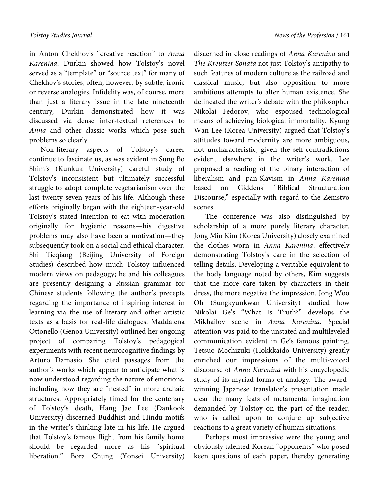in Anton Chekhov's "creative reaction" to Anna Karenina. Durkin showed how Tolstoy's novel served as a "template" or "source text" for many of Chekhov's stories, often, however, by subtle, ironic or reverse analogies. Infidelity was, of course, more than just a literary issue in the late nineteenth century; Durkin demonstrated how it was discussed via dense inter-textual references to Anna and other classic works which pose such problems so clearly.

Non-literary aspects of Tolstoy's career continue to fascinate us, as was evident in Sung Bo Shim's (Kunkuk University) careful study of Tolstoy's inconsistent but ultimately successful struggle to adopt complete vegetarianism over the last twenty-seven years of his life. Although these efforts originally began with the eighteen-year-old Tolstoy's stated intention to eat with moderation originally for hygienic reasons—his digestive problems may also have been a motivation—they subsequently took on a social and ethical character. Shi Tieqiang (Beijing University of Foreign Studies) described how much Tolstoy influenced modern views on pedagogy; he and his colleagues are presently designing a Russian grammar for Chinese students following the author's precepts regarding the importance of inspiring interest in learning via the use of literary and other artistic texts as a basis for real-life dialogues. Maddalena Ottonello (Genoa University) outlined her ongoing project of comparing Tolstoy's pedagogical experiments with recent neurocognitive findings by Arturo Damasio. She cited passages from the author's works which appear to anticipate what is now understood regarding the nature of emotions, including how they are "nested" in more archaic structures. Appropriately timed for the centenary of Tolstoy's death, Hang Jae Lee (Dankook University) discerned Buddhist and Hindu motifs in the writer's thinking late in his life. He argued that Tolstoy's famous flight from his family home should be regarded more as his "spiritual liberation." Bora Chung (Yonsei University) discerned in close readings of Anna Karenina and The Kreutzer Sonata not just Tolstoy's antipathy to such features of modern culture as the railroad and classical music, but also opposition to more ambitious attempts to alter human existence. She delineated the writer's debate with the philosopher Nikolai Fedorov, who espoused technological means of achieving biological immortality. Kyung Wan Lee (Korea University) argued that Tolstoy's attitudes toward modernity are more ambiguous, not uncharacteristic, given the self-contradictions evident elsewhere in the writer's work. Lee proposed a reading of the binary interaction of liberalism and pan-Slavism in Anna Karenina based on Giddens' "Biblical Structuration Discourse," especially with regard to the Zemstvo scenes.

The conference was also distinguished by scholarship of a more purely literary character. Jong Min Kim (Korea University) closely examined the clothes worn in Anna Karenina, effectively demonstrating Tolstoy's care in the selection of telling details. Developing a veritable equivalent to the body language noted by others, Kim suggests that the more care taken by characters in their dress, the more negative the impression. Jong Woo Oh (Sungkyunkwan University) studied how Nikolai Ge's "What Is Truth?" develops the Mikhailov scene in Anna Karenina. Special attention was paid to the unstated and multileveled communication evident in Ge's famous painting. Tetsuo Mochizuki (Hokkkaido University) greatly enriched our impressions of the multi-voiced discourse of Anna Karenina with his encyclopedic study of its myriad forms of analogy. The awardwinning Japanese translator's presentation made clear the many feats of metamental imagination demanded by Tolstoy on the part of the reader, who is called upon to conjure up subjective reactions to a great variety of human situations.

Perhaps most impressive were the young and obviously talented Korean "opponents" who posed keen questions of each paper, thereby generating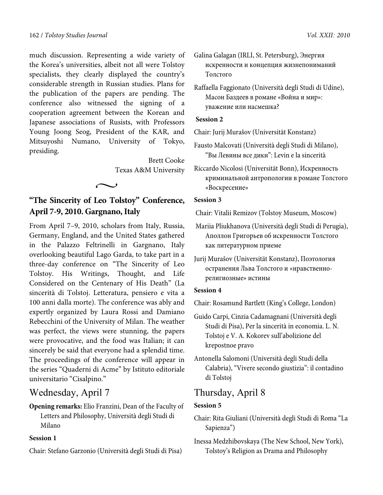much discussion. Representing a wide variety of the Korea's universities, albeit not all were Tolstoy specialists, they clearly displayed the country's considerable strength in Russian studies. Plans for the publication of the papers are pending. The conference also witnessed the signing of a cooperation agreement between the Korean and Japanese associations of Rusists, with Professors Young Joong Seog, President of the KAR, and Mitsuyoshi Numano, University of Tokyo, presiding.

> Brett Cooke Texas A&M University

## **"The Sincerity of Leo Tolstoy" Conference, April 7-9, 2010. Gargnano, Italy**

 $\sim$ 

From April 7–9, 2010, scholars from Italy, Russia, Germany, England, and the United States gathered in the Palazzo Feltrinelli in Gargnano, Italy overlooking beautiful Lago Garda, to take part in a three-day conference on "The Sincerity of Leo Tolstoy. His Writings, Thought, and Life Considered on the Centenary of His Death" (La sincerità di Tolstoj. Letteratura, pensiero e vita a 100 anni dalla morte). The conference was ably and expertly organized by Laura Rossi and Damiano Rebecchini of the University of Milan. The weather was perfect, the views were stunning, the papers were provocative, and the food was Italian; it can sincerely be said that everyone had a splendid time. The proceedings of the conference will appear in the series "Quaderni di Acme" by Istituto editoriale universitario "Cisalpino."

## Wednesday, April 7

**Opening remarks:** Elio Franzini, Dean of the Faculty of Letters and Philosophy, Università degli Studi di Milano

## **Session 1**

Chair: Stefano Garzonio (Università degli Studi di Pisa)

Galina Galagan (IRLI, St. Petersburg), Энергия искренности и концепция жизнепониманий Толстого

Raffaella Faggionato (Università degli Studi di Udine), Масон Баздеев в романе «Война и мир»: уважение или насмешка?

## **Session 2**

Chair: Jurij Murašov (Universität Konstanz)

- Fausto Malcovati (Università degli Studi di Milano), "Вы Левины все дики": Levin e la sincerità
- Riccardo Nicolosi (Universität Bonn), Искренность криминальной антропологии в романе Толстого «Воскресение»

## **Session 3**

Chair: Vitalii Remizov (Tolstoy Museum, Moscow)

- Mariia Pliukhanova (Università degli Studi di Perugia), Аполлон Григорьев об искренности Толстого как литературном приеме
- Jurij Murašov (Universität Konstanz), Поэтология остранения Льва Толстого и «нравственнорелигиозные» истины

## **Session 4**

Chair: Rosamund Bartlett (King's College, London)

- Guido Carpi, Cinzia Cadamagnani (Università degli Studi di Pisa), Per la sincerità in economia. L. N. Tolstoj e V. A. Kokorev sull'abolizione del krepostnoe pravo
- Antonella Salomoni (Università degli Studi della Calabria), "Vivere secondo giustizia": il contadino di Tolstoj

## Thursday, April 8

## **Session 5**

- Chair: Rita Giuliani (Università degli Studi di Roma "La Sapienza")
- Inessa Medzhibovskaya (The New School, New York), Tolstoy's Religion as Drama and Philosophy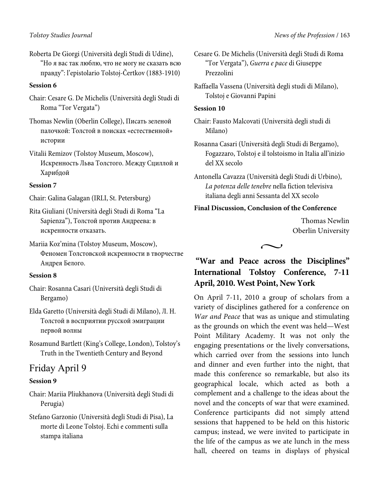Roberta De Giorgi (Università degli Studi di Udine), "Но я вас так люблю, что не могу не сказать всю правду": l'epistolario Tolstoj-Čertkov (1883-1910)

#### **Session 6**

- Chair: Cesare G. De Michelis (Università degli Studi di Roma "Tor Vergata")
- Thomas Newlin (Oberlin College), Писать зеленой палочкой: Толстой в поисках «eстeственной» истории
- Vitalii Remizov (Tolstoy Museum, Moscow), Искренность Льва Толстого. Между Сциллой и Харибдой

#### **Session 7**

- Chair: Galina Galagan (IRLI, St. Petersburg)
- Rita Giuliani (Università degli Studi di Roma "La Sapienza"), Толстой против Андреева: в искренности отказать.
- Mariia Koz'mina (Tolstoy Museum, Moscow), Феномен Толстовской искренности в творчестве Андрея Белого.

#### **Session 8**

- Chair: Rosanna Casari (Università degli Studi di Bergamo)
- Elda Garetto (Università degli Studi di Milano), Л. Н. Толстой в восприятии русской эмиграции первой волны
- Rosamund Bartlett (King's College, London), Tolstoy's Truth in the Twentieth Century and Beyond

## Friday April 9

## **Session 9**

- Chair: Mariia Pliukhanova (Università degli Studi di Perugia)
- Stefano Garzonio (Università degli Studi di Pisa), La morte di Leone Tolstoj. Echi e commenti sulla stampa italiana

Cesare G. De Michelis (Università degli Studi di Roma "Tor Vergata"), *Guerra e pace* di Giuseppe Prezzolini

Raffaella Vassena (Università degli studi di Milano), Tolstoj e Giovanni Papini

#### **Session 10**

Chair: Fausto Malcovati (Università degli studi di Milano)

Rosanna Casari (Università degli Studi di Bergamo), Fogazzaro, Tolstoj e il tolstoismo in Italia all'inizio del XX secolo

Antonella Cavazza (Università degli Studi di Urbino), *La potenza delle tenebre* nella fiction televisiva italiana degli anni Sessanta del XX secolo

## **Final Discussion, Conclusion of the Conference**

Thomas Newlin Oberlin University



## **"War and Peace across the Disciplines" International Tolstoy Conference, 7-11 April, 2010. West Point, New York**

On April 7-11, 2010 a group of scholars from a variety of disciplines gathered for a conference on War and Peace that was as unique and stimulating as the grounds on which the event was held—West Point Military Academy. It was not only the engaging presentations or the lively conversations, which carried over from the sessions into lunch and dinner and even further into the night, that made this conference so remarkable, but also its geographical locale, which acted as both a complement and a challenge to the ideas about the novel and the concepts of war that were examined. Conference participants did not simply attend sessions that happened to be held on this historic campus; instead, we were invited to participate in the life of the campus as we ate lunch in the mess hall, cheered on teams in displays of physical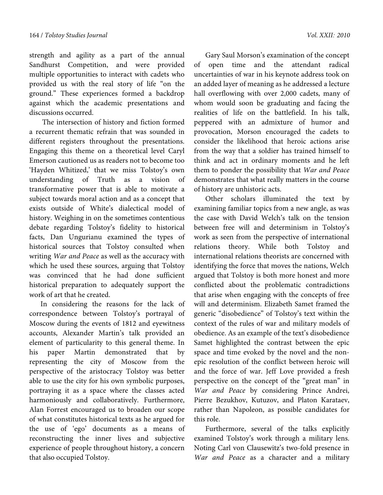strength and agility as a part of the annual Sandhurst Competition, and were provided multiple opportunities to interact with cadets who provided us with the real story of life "on the ground." These experiences formed a backdrop against which the academic presentations and discussions occurred.

 The intersection of history and fiction formed a recurrent thematic refrain that was sounded in different registers throughout the presentations. Engaging this theme on a theoretical level Caryl Emerson cautioned us as readers not to become too 'Hayden Whitized,' that we miss Tolstoy's own understanding of Truth as a vision of transformative power that is able to motivate a subject towards moral action and as a concept that exists outside of White's dialectical model of history. Weighing in on the sometimes contentious debate regarding Tolstoy's fidelity to historical facts, Dan Ungurianu examined the types of historical sources that Tolstoy consulted when writing War and Peace as well as the accuracy with which he used these sources, arguing that Tolstoy was convinced that he had done sufficient historical preparation to adequately support the work of art that he created.

In considering the reasons for the lack of correspondence between Tolstoy's portrayal of Moscow during the events of 1812 and eyewitness accounts, Alexander Martin's talk provided an element of particularity to this general theme. In his paper Martin demonstrated that by representing the city of Moscow from the perspective of the aristocracy Tolstoy was better able to use the city for his own symbolic purposes, portraying it as a space where the classes acted harmoniously and collaboratively. Furthermore, Alan Forrest encouraged us to broaden our scope of what constitutes historical texts as he argued for the use of 'ego' documents as a means of reconstructing the inner lives and subjective experience of people throughout history, a concern that also occupied Tolstoy.

Gary Saul Morson's examination of the concept of open time and the attendant radical uncertainties of war in his keynote address took on an added layer of meaning as he addressed a lecture hall overflowing with over 2,000 cadets, many of whom would soon be graduating and facing the realities of life on the battlefield. In his talk, peppered with an admixture of humor and provocation, Morson encouraged the cadets to consider the likelihood that heroic actions arise from the way that a soldier has trained himself to think and act in ordinary moments and he left them to ponder the possibility that War and Peace demonstrates that what really matters in the course of history are unhistoric acts.

Other scholars illuminated the text by examining familiar topics from a new angle, as was the case with David Welch's talk on the tension between free will and determinism in Tolstoy's work as seen from the perspective of international relations theory. While both Tolstoy and international relations theorists are concerned with identifying the force that moves the nations, Welch argued that Tolstoy is both more honest and more conflicted about the problematic contradictions that arise when engaging with the concepts of free will and determinism. Elizabeth Samet framed the generic "disobedience" of Tolstoy's text within the context of the rules of war and military models of obedience. As an example of the text's disobedience Samet highlighted the contrast between the epic space and time evoked by the novel and the nonepic resolution of the conflict between heroic will and the force of war. Jeff Love provided a fresh perspective on the concept of the "great man" in War and Peace by considering Prince Andrei, Pierre Bezukhov, Kutuzov, and Platon Karataev, rather than Napoleon, as possible candidates for this role.

Furthermore, several of the talks explicitly examined Tolstoy's work through a military lens. Noting Carl von Clausewitz's two-fold presence in War and Peace as a character and a military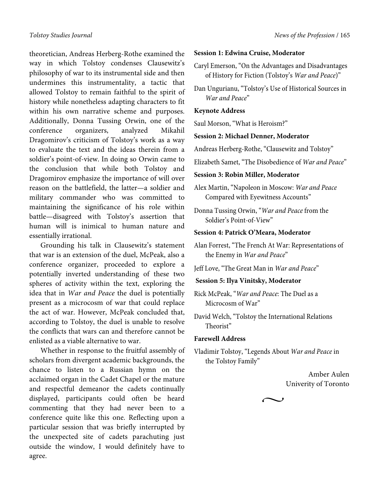theoretician, Andreas Herberg-Rothe examined the way in which Tolstoy condenses Clausewitz's philosophy of war to its instrumental side and then undermines this instrumentality, a tactic that allowed Tolstoy to remain faithful to the spirit of history while nonetheless adapting characters to fit within his own narrative scheme and purposes. Additionally, Donna Tussing Orwin, one of the conference organizers, analyzed Mikahil Dragomirov's criticism of Tolstoy's work as a way to evaluate the text and the ideas therein from a soldier's point-of-view. In doing so Orwin came to the conclusion that while both Tolstoy and Dragomirov emphasize the importance of will over reason on the battlefield, the latter—а soldier and military commander who was committed to maintaining the significance of his role within battle—disagreed with Tolstoy's assertion that human will is inimical to human nature and essentially irrational.

Grounding his talk in Clausewitz's statement that war is an extension of the duel, McPeak, also a conference organizer, proceeded to explore a potentially inverted understanding of these two spheres of activity within the text, exploring the idea that in War and Peace the duel is potentially present as a microcosm of war that could replace the act of war. However, McPeak concluded that, according to Tolstoy, the duel is unable to resolve the conflicts that wars can and therefore cannot be enlisted as a viable alternative to war.

Whether in response to the fruitful assembly of scholars from divergent academic backgrounds, the chance to listen to a Russian hymn on the acclaimed organ in the Cadet Chapel or the mature and respectful demeanor the cadets continually displayed, participants could often be heard commenting that they had never been to a conference quite like this one. Reflecting upon a particular session that was briefly interrupted by the unexpected site of cadets parachuting just outside the window, I would definitely have to agree.

#### **Session 1: Edwina Cruise, Moderator**

- Caryl Emerson, "On the Advantages and Disadvantages of History for Fiction (Tolstoy's *War and Peace*)"
- Dan Ungurianu, "Tolstoy's Use of Historical Sources in *War and Peace*"

#### **Keynote Address**

Saul Morson, "What is Heroism?"

#### **Session 2: Michael Denner, Moderator**

Andreas Herberg-Rothe, "Clausewitz and Tolstoy"

Elizabeth Samet, "The Disobedience of *War and Peace*"

#### **Session 3: Robin Miller, Moderator**

Alex Martin, "Napoleon in Moscow: *War and Peace* Compared with Eyewitness Accounts"

Donna Tussing Orwin, "*War and Peace* from the Soldier's Point-of-View"

#### **Session 4: Patrick O'Meara, Moderator**

Alan Forrest, "The French Аt War: Representations of the Enemy in *War and Peace*"

Jeff Love, "The Great Man in *War and Peace*"

#### **Session 5: Ilya Vinitsky, Moderator**

Rick McPeak, "*War and Peace*: The Duel as a Microcosm of War"

David Welch, "Tolstoy the International Relations Theorist"

#### **Farewell Address**

Vladimir Tolstoy, "Legends Аbout *War and Peace* in the Tolstoy Family"

 $\sim$ 

Amber Aulen Univerity of Toronto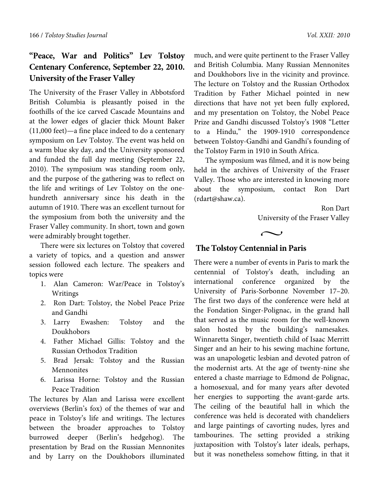## **"Peace, War and Politics" Lev Tolstoy Centenary Conference, September 22, 2010. University of the Fraser Valley**

The University of the Fraser Valley in Abbotsford British Columbia is pleasantly poised in the foothills of the ice carved Cascade Mountains and at the lower edges of glacier thick Mount Baker (11,000 feet)—a fine place indeed to do a centenary symposium on Lev Tolstoy. The event was held on a warm blue sky day, and the University sponsored and funded the full day meeting (September 22, 2010). The symposium was standing room only, and the purpose of the gathering was to reflect on the life and writings of Lev Tolstoy on the onehundreth anniversary since his death in the autumn of 1910. There was an excellent turnout for the symposium from both the university and the Fraser Valley community. In short, town and gown were admirably brought together.

There were six lectures on Tolstoy that covered a variety of topics, and a question and answer session followed each lecture. The speakers and topics were

- 1. Alan Cameron: War/Peace in Tolstoy's Writings
- 2. Ron Dart: Tolstoy, the Nobel Peace Prize and Gandhi
- 3. Larry Ewashen: Tolstoy and the Doukhobors
- 4. Father Michael Gillis: Tolstoy and the Russian Orthodox Tradition
- 5. Brad Jersak: Tolstoy and the Russian Mennonites
- 6. Larissa Horne: Tolstoy and the Russian Peace Tradition

The lectures by Alan and Larissa were excellent overviews (Berlin's fox) of the themes of war and peace in Tolstoy's life and writings. The lectures between the broader approaches to Tolstoy burrowed deeper (Berlin's hedgehog). The presentation by Brad on the Russian Mennonites and by Larry on the Doukhobors illuminated

much, and were quite pertinent to the Fraser Valley and British Columbia. Many Russian Mennonites and Doukhobors live in the vicinity and province. The lecture on Tolstoy and the Russian Orthodox Tradition by Father Michael pointed in new directions that have not yet been fully explored, and my presentation on Tolstoy, the Nobel Peace Prize and Gandhi discussed Tolstoy's 1908 "Letter to a Hindu," the 1909-1910 correspondence between Tolstoy-Gandhi and Gandhi's founding of the Tolstoy Farm in 1910 in South Africa.

The symposium was filmed, and it is now being held in the archives of University of the Fraser Valley. Those who are interested in knowing more about the symposium, contact Ron Dart (rdart@shaw.ca).

> Ron Dart University of the Fraser Valley

 $\sim$ 

## **The Tolstoy Centennial in Paris**

There were a number of events in Paris to mark the centennial of Tolstoy's death, including an international conference organized by the University of Paris-Sorbonne November 17–20. The first two days of the conference were held at the Fondation Singer-Polignac, in the grand hall that served as the music room for the well-known salon hosted by the building's namesakes. Winnaretta Singer, twentieth child of Isaac Merritt Singer and an heir to his sewing machine fortune, was an unapologetic lesbian and devoted patron of the modernist arts. At the age of twenty-nine she entered a chaste marriage to Edmond de Polignac, a homosexual, and for many years after devoted her energies to supporting the avant-garde arts. The ceiling of the beautiful hall in which the conference was held is decorated with chandeliers and large paintings of cavorting nudes, lyres and tambourines. The setting provided a striking juxtaposition with Tolstoy's later ideals, perhaps, but it was nonetheless somehow fitting, in that it